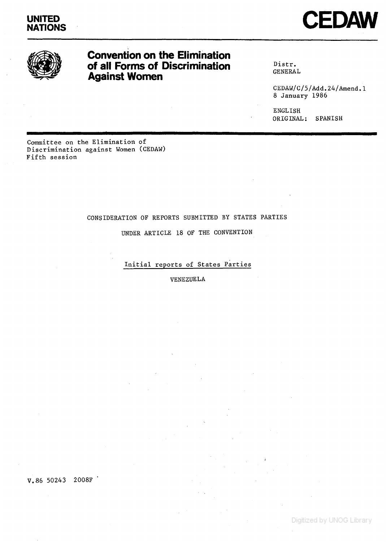



# Convention on the Elimination of all Forms of Discrimination Against Women

**Distr. GENERAL**

**CEDAW/C/5/Add.24/Amend.1 8 January 1986**

**ENGLISH ORIGINAL: SPANISH**

**Committee on the Elimination of Discrimination against Women (CEDAW) Fifth session**

# **CONSIDERATION OF REPORTS SUBMITTED BY STATES PARTIES**

**UNDER ARTICLE 18 OF THE CONVENTION**

**Initial reports of States Parties**

**VENEZUELA**

**V.86 50243 2008F**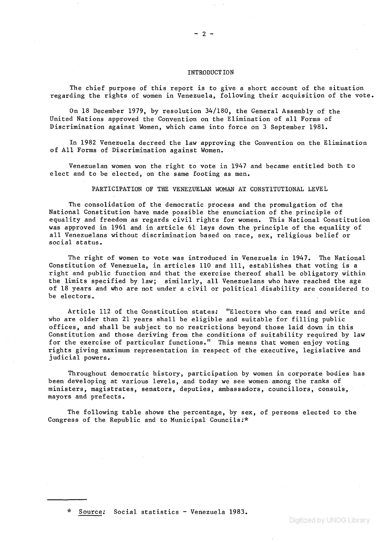#### **INTRODUCTION**

**The chief purpose of this report is to give a short account of the situation regarding the rights of women in Venezuela, following their acquisition of the vote.**

**On 18 December 1979, by resolution 34/180, the General Assembly of the United Nations approved the Convention on the Elimination of all Forms of Discrimination against Women, which came into force on 3 September 1981.**

**In 1982 Venezuela decreed the law approving the Convention on the Elimination of All Forms of Discrimination against Women.**

**Venezuelan women won the right to vote in 1947 and became entitled both to elect and to be elected, on the same footing as men.**

**PARTICIPATION OF THE VENEZUELAN WOMAN AT CONSTITUTIONAL LEVEL**

**The consolidation of the democratic process and the promulgation of the National Constitution have made possible the enunciation of the principle of equality and freedom as regards civil rights for women. This National Constitution was approved in 1961 and in article 61 lays down the principle of the equality of all Venezuelans without discrimination based on race, sex, religious belief or social status.**

**The right of women to vote was introduced in Venezuela in 1947. The National Constitution of Venezuela, in articles 110 and 111, establishes that voting is a right and public function and that the exercise thereof shall be obligatory within the limits specified by law; similarly, all Venezuelans who have reached the age** of 18 years and who are not under a civil or political disability are considered to **be electors.**

**Article 112 of the Constitution states; "Electors who can read and write and who are older than 21 years shall be eligible and suitable for filling public offices, and shall be subject to no restrictions beyond those laid down in this Constitution and those deriving from the conditions of suitability required by law for the exercise of particular functions." This means that women enjoy voting rights giving maximum representation in respect of the executive, legislative and judicial powers.**

**Throughout democratic history, participation by women in corporate bodies has been developing at various levels, and today we see women among the ranks of ministers, magistrates, senators, deputies, ambassadors, councillors, consuls, mayors and prefects.**

**The following table shows the percentage, by sex, of persons elected to the Congress of the Republic and to Municipal Councils;\***

**\* Source; Social statistics - Venezuela 1983.**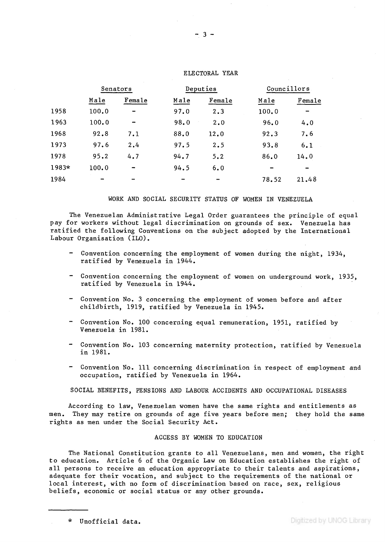|       | Senators |                          | Deputies |        | Councillors |        |
|-------|----------|--------------------------|----------|--------|-------------|--------|
|       | Male     | Female                   | Male     | Female | Male        | Female |
| 1958  | 100.0    |                          | 97.0     | 2.3    | 100.0       |        |
| 1963  | 100.0    | $\overline{\phantom{a}}$ | 98.0     | 2.0    | 96.0        | 4.0    |
| 1968  | 92.8     | 7.1                      | 88.0     | 12.0   | 92.3        | 7.6    |
| 1973  | 97.6     | 2.4                      | 97.5     | 2.5    | 93.8        | 6.1    |
| 1978  | 95.2     | 4.7                      | 94.7     | 5.2    | 86.0        | 14.0   |
| 1983* | 100.0    | $\overline{\phantom{0}}$ | 94.5     | 6.0    | --          |        |
| 1984  | -        |                          |          |        | 78.52       | 21.48  |

# **ELECTORAL YEAR**

## **WORK AND SOCIAL SECURITY STATUS OF WOMEN IN VENEZUELA**

**The Venezuelan Administrative Legal Order guarantees the principle of equal pay for workers without legal discrimination on grounds of sex. Venezuela has ratified the following Conventions on the subject adopted by the International Labour Organisation (ILO).**

- **Convention concerning the employment of women during the night, 1934, ratified by Venezuela in 1944.**
- **" Convention concerning the employment of women on underground work, 1935, ratified by Venezuela in 1944.**
- **" Convention No. 3 concerning the employment of women before and after childbirth, 1919, ratified by Venezuela in 1945.**
- **Convention No. 100 concerning equal remuneration, 1951, ratified by Venezuela in 1981.**
- **" Convention No. 103 concerning maternity protection, ratified by Venezuela in 1981.**
- **Convention No. Ill concerning discrimination in respect of employment and occupation, ratified by Venezuela in 1964.**

**SOCIAL BENEFITS, PENSIONS AND LABOUR ACCIDENTS AND OCCUPATIONAL DISEASES**

**According to law, Venezuelan women have the same rights and entitlements as men. They may retire on grounds of age five years before men; they hold the same rights as men under the Social Security Act.**

### **ACCESS BY WOMEN TO EDUCATION**

**The National Constitution grants to all Venezuelans, men and women, the right to education. Article 6 of the Organic Law on Education establishes the right of all persons to receive an education appropriate to their talents and aspirations, adequate for their vocation, and subject to the requirements of the national or local interest, with no form of discrimination based on race, sex, religious beliefs, economic or social status or any other grounds.**

**\* Unofficial data.**

Digitized by UNOG Library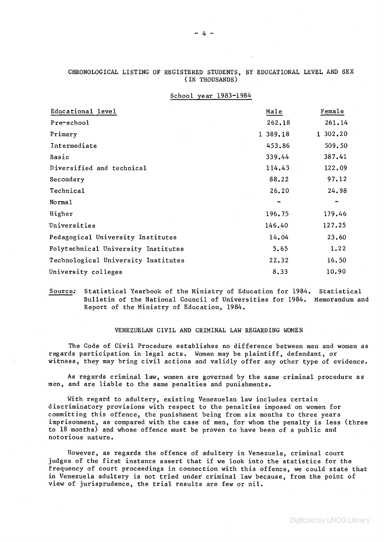| School year 1983-1984               |          |          |
|-------------------------------------|----------|----------|
| Educational level                   | Male     | Female   |
| Pre-school                          | 262.18   | 261.14   |
| Primary                             | 1 389.18 | 1 302.20 |
| Intermediate                        | 453.86   | 509.50   |
| Basic                               | 339.44   | 387.41   |
| Diversified and technical           | 114.43   | 122.09   |
| Secondary                           | 88.22    | 97.12    |
| Technical                           | 26.20    | 24.98    |
| Norma1                              |          |          |
| Higher                              | 196.75   | 179.46   |
| Universities                        | 146.40   | 127.25   |
| Pedagogical University Institutes   | 14.04    | 23.60    |
| Polytechnical University Institutes | 5.65     | 1.22     |
| Technological University Institutes | 22.32    | 16.50    |
| University colleges                 | 8.33     | 10.90    |

# **CHRONOLOGICAL LISTING OF REGISTERED STUDENTS, BY EDUCATIONAL LEVEL AND SEX (IN THOUSANDS)**

**Source; Statistical Yearbook of the Ministry of Education for 1984. Statistical Bulletin of the National Council of Universities for 1984. Memorandum and Report of the Ministry of Education, 1984.**

### **VENEZUELAN CIVIL AND CRIMINAL LAW REGARDING WOMEN**

**The Code of Civil Procedure establishes no difference between men and women as regards participation in legal acts. Women may be plaintiff, defendant, or witness, they may bring civil actions and validly offer any other type of evidence.**

**As regards criminal law, women are governed by the same criminal procedure as men, and are liable to the same penalties and punishments.**

**With regard to adultery, existing Venezuelan law includes certain discriminatory provisions with respect to the penalties imposed on women for committing this offence, the punishment being from six months to three years imprisonment, as compared with the case of men, for whom the penalty is less (three to 18 months) and whose offence must be proven to have been of a public and notorious nature.**

**However, as regards the offence of adultery in Venezuela, criminal court judges of the first instance assert that if we look into the statistics for the frequency of court proceedings in connection with this offence, we could state that in Venezuela adultery is not tried under criminal law because, from the point of view of jurisprudence, the trial results are few or nil.**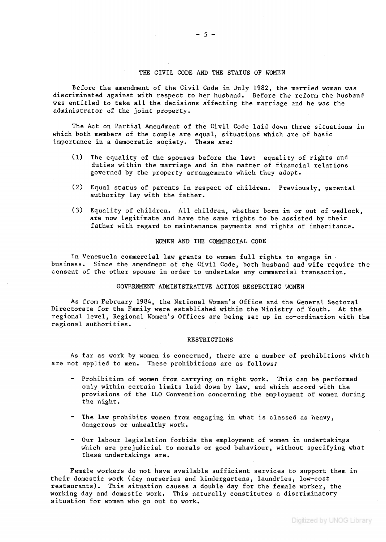# **THE CIVIL CODE AND THE STATUS OF WOMEN**

**Before the amendment of the Civil Code in July 1982, the married woman was discriminated against with respect to her husband. Before the reform the husband was entitled to take all the decisions affecting the marriage and he was the administrator of the joint property.**

**The Act on Partial Amendment of the Civil Code laid down three situations in which both members of the couple are equal, situations which are of basic importance in a democratic society. These are;**

- **(1) The equality of the spouses before the law; equality of rights and duties within the marriage and in the matter of financial relations governed by the property arrangements which they adopt.**
- **(2) Equal status of parents in respect of children. Previously, parental authority lay with the father.**
- **(3) Equality of children. All children, whether born in or out of wedlock, are now legitimate and have the same rights to be assisted by their** father with regard to maintenance payments and rights of inheritance.

# **WOMEN AND THE COMMERCIAL CODE**

**In Venezuela commercial law grants to women full rights to engage in ' business. Since the amendment of the Civil Code, both husband and wife require the consent of the other spouse in order to undertake any commercial transaction.**

### **GOVERNMENT ADMINISTRATIVE ACTION RESPECTING WOMEN**

**As from February 1984, the National Women's Office and the General Sectoral Directorate for the Family were established within the Ministry of Youth. At the regional level. Regional Women's Offices are being set up in co-ordination with the regional authorities.**

#### **RESTRICTIONS**

**As far as work by women is concerned, there are a number of prohibitions which are not applied to men. These prohibitions are as follows;**

- **Prohibition of women from carrying on night work. This can be performed only within certain limits laid down by law, and which accord with the provisions of the ILO Convention concerning the employment of women during the night.**
- **The law prohibits women from engaging in what is classed as heavy, dangerous or unhealthy work.**
- **Our labour legislation forbids the employment of women in undertakings which are prejudicial to morals or good behaviour, without specifying what these undertakings are.**

**Female workers do not have available sufficient services to support them in their domestic work (day nurseries and kindergartens, laundries, low-cost restaurants). This situation causes a double day for the female worker, the working day and domestic work. This naturally constitutes a discriminatory situation for women who go out to work.**